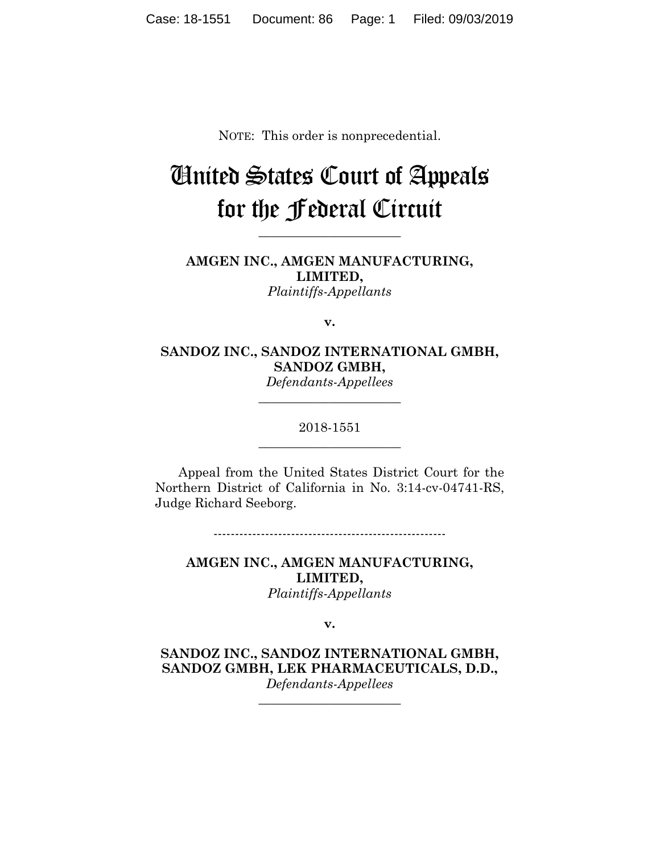NOTE: This order is nonprecedential.

# United States Court of Appeals for the Federal Circuit

**\_\_\_\_\_\_\_\_\_\_\_\_\_\_\_\_\_\_\_\_\_\_**

**AMGEN INC., AMGEN MANUFACTURING, LIMITED,** *Plaintiffs-Appellants*

**v.**

**SANDOZ INC., SANDOZ INTERNATIONAL GMBH, SANDOZ GMBH,**

*Defendants-Appellees* **\_\_\_\_\_\_\_\_\_\_\_\_\_\_\_\_\_\_\_\_\_\_**

### 2018-1551 **\_\_\_\_\_\_\_\_\_\_\_\_\_\_\_\_\_\_\_\_\_\_**

Appeal from the United States District Court for the Northern District of California in No. 3:14-cv-04741-RS, Judge Richard Seeborg.

------------------------------------------------------

**AMGEN INC., AMGEN MANUFACTURING, LIMITED,** *Plaintiffs-Appellants*

**v.**

**SANDOZ INC., SANDOZ INTERNATIONAL GMBH, SANDOZ GMBH, LEK PHARMACEUTICALS, D.D.,** *Defendants-Appellees*

**\_\_\_\_\_\_\_\_\_\_\_\_\_\_\_\_\_\_\_\_\_\_**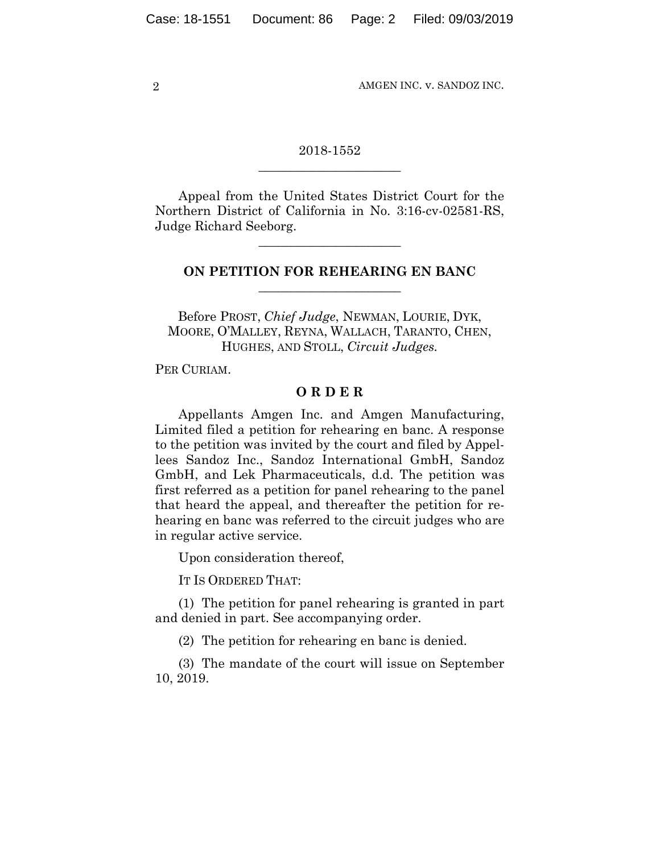2 AMGEN INC. v. SANDOZ INC.

### 2018-1552 **\_\_\_\_\_\_\_\_\_\_\_\_\_\_\_\_\_\_\_\_\_\_**

Appeal from the United States District Court for the Northern District of California in No. 3:16-cv-02581-RS, Judge Richard Seeborg.

**\_\_\_\_\_\_\_\_\_\_\_\_\_\_\_\_\_\_\_\_\_\_**

## **ON PETITION FOR REHEARING EN BANC \_\_\_\_\_\_\_\_\_\_\_\_\_\_\_\_\_\_\_\_\_\_**

Before PROST, *Chief Judge*, NEWMAN, LOURIE, DYK, MOORE, O'MALLEY, REYNA, WALLACH, TARANTO, CHEN, HUGHES, AND STOLL, *Circuit Judges.*

PER CURIAM.

#### **O R D E R**

Appellants Amgen Inc. and Amgen Manufacturing, Limited filed a petition for rehearing en banc. A response to the petition was invited by the court and filed by Appellees Sandoz Inc., Sandoz International GmbH, Sandoz GmbH, and Lek Pharmaceuticals, d.d. The petition was first referred as a petition for panel rehearing to the panel that heard the appeal, and thereafter the petition for rehearing en banc was referred to the circuit judges who are in regular active service.

Upon consideration thereof,

IT IS ORDERED THAT:

(1) The petition for panel rehearing is granted in part and denied in part. See accompanying order.

(2) The petition for rehearing en banc is denied.

(3) The mandate of the court will issue on September 10, 2019.